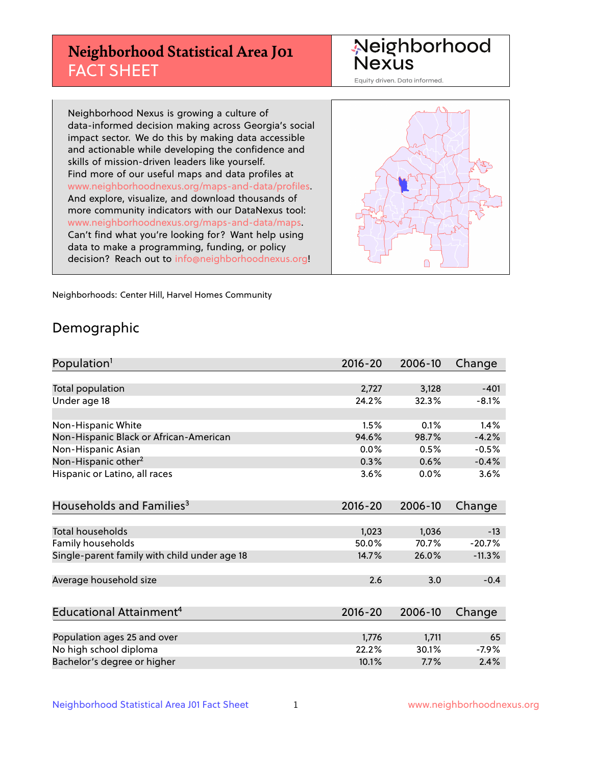## **Neighborhood Statistical Area J01** FACT SHEET

Neighborhood Nexus

Equity driven. Data informed.

Neighborhood Nexus is growing a culture of data-informed decision making across Georgia's social impact sector. We do this by making data accessible and actionable while developing the confidence and skills of mission-driven leaders like yourself. Find more of our useful maps and data profiles at www.neighborhoodnexus.org/maps-and-data/profiles. And explore, visualize, and download thousands of more community indicators with our DataNexus tool: www.neighborhoodnexus.org/maps-and-data/maps. Can't find what you're looking for? Want help using data to make a programming, funding, or policy decision? Reach out to [info@neighborhoodnexus.org!](mailto:info@neighborhoodnexus.org)



Neighborhoods: Center Hill, Harvel Homes Community

### Demographic

| Population <sup>1</sup>                      | $2016 - 20$ | 2006-10 | Change   |
|----------------------------------------------|-------------|---------|----------|
|                                              |             |         |          |
| Total population                             | 2,727       | 3,128   | $-401$   |
| Under age 18                                 | 24.2%       | 32.3%   | $-8.1%$  |
|                                              |             |         |          |
| Non-Hispanic White                           | 1.5%        | 0.1%    | 1.4%     |
| Non-Hispanic Black or African-American       | 94.6%       | 98.7%   | $-4.2%$  |
| Non-Hispanic Asian                           | 0.0%        | 0.5%    | $-0.5%$  |
| Non-Hispanic other <sup>2</sup>              | 0.3%        | 0.6%    | $-0.4%$  |
| Hispanic or Latino, all races                | 3.6%        | 0.0%    | 3.6%     |
|                                              |             |         |          |
| Households and Families <sup>3</sup>         | $2016 - 20$ | 2006-10 | Change   |
|                                              |             |         |          |
| <b>Total households</b>                      | 1,023       | 1,036   | $-13$    |
| Family households                            | 50.0%       | 70.7%   | $-20.7%$ |
| Single-parent family with child under age 18 | 14.7%       | 26.0%   | $-11.3%$ |
|                                              |             |         |          |
| Average household size                       | 2.6         | 3.0     | $-0.4$   |
|                                              |             |         |          |
| Educational Attainment <sup>4</sup>          | $2016 - 20$ | 2006-10 | Change   |
|                                              |             |         |          |
| Population ages 25 and over                  | 1,776       | 1,711   | 65       |
| No high school diploma                       | 22.2%       | 30.1%   | $-7.9%$  |
| Bachelor's degree or higher                  | 10.1%       | 7.7%    | 2.4%     |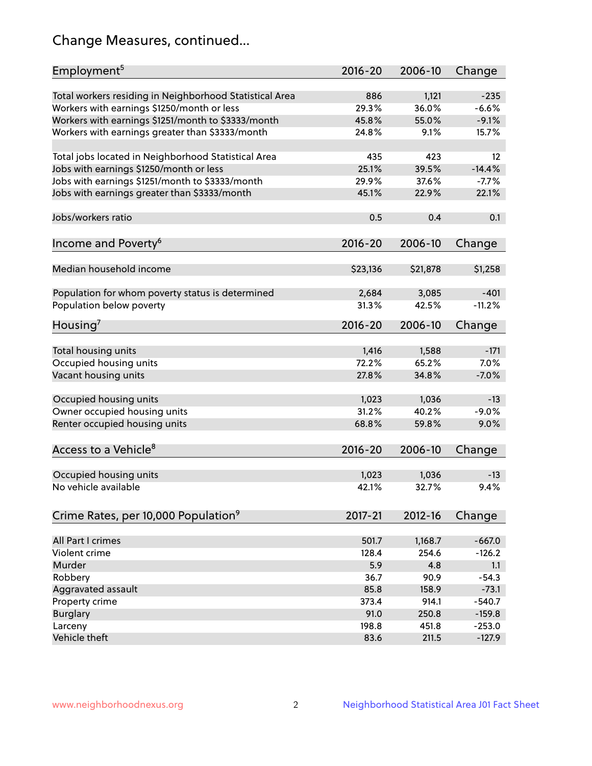## Change Measures, continued...

| Employment <sup>5</sup>                                 | $2016 - 20$  | 2006-10        | Change            |
|---------------------------------------------------------|--------------|----------------|-------------------|
|                                                         |              |                |                   |
| Total workers residing in Neighborhood Statistical Area | 886<br>29.3% | 1,121<br>36.0% | $-235$<br>$-6.6%$ |
| Workers with earnings \$1250/month or less              |              |                |                   |
| Workers with earnings \$1251/month to \$3333/month      | 45.8%        | 55.0%          | $-9.1%$           |
| Workers with earnings greater than \$3333/month         | 24.8%        | 9.1%           | 15.7%             |
| Total jobs located in Neighborhood Statistical Area     | 435          | 423            | 12                |
| Jobs with earnings \$1250/month or less                 | 25.1%        | 39.5%          | $-14.4%$          |
| Jobs with earnings \$1251/month to \$3333/month         | 29.9%        | 37.6%          | $-7.7%$           |
| Jobs with earnings greater than \$3333/month            | 45.1%        | 22.9%          | 22.1%             |
|                                                         |              |                |                   |
| Jobs/workers ratio                                      | 0.5          | 0.4            | 0.1               |
|                                                         |              |                |                   |
| Income and Poverty <sup>6</sup>                         | 2016-20      | 2006-10        | Change            |
| Median household income                                 | \$23,136     | \$21,878       | \$1,258           |
|                                                         |              |                |                   |
| Population for whom poverty status is determined        | 2,684        | 3,085          | $-401$            |
| Population below poverty                                | 31.3%        | 42.5%          | $-11.2%$          |
|                                                         |              |                |                   |
| Housing <sup>7</sup>                                    | 2016-20      | 2006-10        | Change            |
| Total housing units                                     | 1,416        | 1,588          | $-171$            |
| Occupied housing units                                  | 72.2%        | 65.2%          | 7.0%              |
| Vacant housing units                                    | 27.8%        | 34.8%          | $-7.0%$           |
|                                                         |              |                |                   |
| Occupied housing units                                  | 1,023        | 1,036          | $-13$             |
| Owner occupied housing units                            | 31.2%        | 40.2%          | $-9.0%$           |
| Renter occupied housing units                           | 68.8%        | 59.8%          | 9.0%              |
|                                                         |              |                |                   |
| Access to a Vehicle <sup>8</sup>                        | $2016 - 20$  | 2006-10        | Change            |
|                                                         |              |                |                   |
| Occupied housing units                                  | 1,023        | 1,036          | $-13$             |
| No vehicle available                                    | 42.1%        | 32.7%          | 9.4%              |
|                                                         |              |                |                   |
| Crime Rates, per 10,000 Population <sup>9</sup>         | 2017-21      | 2012-16        | Change            |
|                                                         |              |                |                   |
| All Part I crimes                                       | 501.7        | 1,168.7        | $-667.0$          |
| Violent crime                                           | 128.4        | 254.6          | $-126.2$          |
| Murder                                                  | 5.9          | 4.8            | 1.1               |
| Robbery                                                 | 36.7         | 90.9           | $-54.3$           |
| Aggravated assault                                      | 85.8         | 158.9          | $-73.1$           |
| Property crime                                          | 373.4        | 914.1          | $-540.7$          |
| <b>Burglary</b>                                         | 91.0         | 250.8          | $-159.8$          |
| Larceny                                                 | 198.8        | 451.8          | $-253.0$          |
| Vehicle theft                                           | 83.6         | 211.5          | $-127.9$          |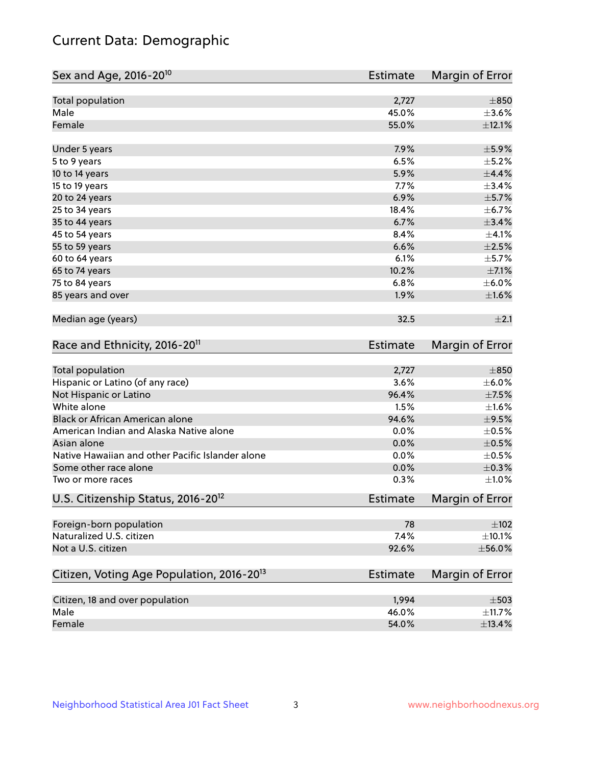## Current Data: Demographic

| Sex and Age, 2016-20 <sup>10</sup>                    | Estimate        | Margin of Error |
|-------------------------------------------------------|-----------------|-----------------|
| Total population                                      | 2,727           | $\pm 850$       |
| Male                                                  | 45.0%           | $\pm 3.6\%$     |
| Female                                                | 55.0%           | $\pm$ 12.1%     |
| Under 5 years                                         | 7.9%            | $\pm$ 5.9%      |
| 5 to 9 years                                          | 6.5%            | $\pm$ 5.2%      |
| 10 to 14 years                                        | 5.9%            | $\pm$ 4.4%      |
| 15 to 19 years                                        | 7.7%            | $\pm$ 3.4%      |
| 20 to 24 years                                        | 6.9%            | $\pm$ 5.7%      |
| 25 to 34 years                                        | 18.4%           | $\pm$ 6.7%      |
| 35 to 44 years                                        | 6.7%            | ±3.4%           |
| 45 to 54 years                                        | 8.4%            | $\pm 4.1\%$     |
| 55 to 59 years                                        | 6.6%            | $\pm 2.5\%$     |
| 60 to 64 years                                        | 6.1%            | $\pm$ 5.7%      |
| 65 to 74 years                                        | 10.2%           | $\pm$ 7.1%      |
| 75 to 84 years                                        | 6.8%            | $\pm$ 6.0%      |
| 85 years and over                                     | 1.9%            | $\pm1.6\%$      |
| Median age (years)                                    | 32.5            | $\pm 2.1$       |
| Race and Ethnicity, 2016-20 <sup>11</sup>             | <b>Estimate</b> | Margin of Error |
| Total population                                      | 2,727           | $\pm 850$       |
| Hispanic or Latino (of any race)                      | 3.6%            | $\pm$ 6.0%      |
| Not Hispanic or Latino                                | 96.4%           | $\pm$ 7.5%      |
| White alone                                           | 1.5%            | ±1.6%           |
| Black or African American alone                       | 94.6%           | $\pm$ 9.5%      |
| American Indian and Alaska Native alone               | 0.0%            | $\pm$ 0.5%      |
| Asian alone                                           | 0.0%            | $\pm$ 0.5%      |
| Native Hawaiian and other Pacific Islander alone      | 0.0%            | $\pm$ 0.5%      |
| Some other race alone                                 | 0.0%            | $\pm$ 0.3%      |
| Two or more races                                     | 0.3%            | $\pm 1.0\%$     |
| U.S. Citizenship Status, 2016-20 <sup>12</sup>        | <b>Estimate</b> | Margin of Error |
| Foreign-born population                               | 78              | $\pm 102$       |
| Naturalized U.S. citizen                              | 7.4%            | $\pm$ 10.1%     |
| Not a U.S. citizen                                    | 92.6%           | $\pm$ 56.0%     |
| Citizen, Voting Age Population, 2016-20 <sup>13</sup> | Estimate        | Margin of Error |
| Citizen, 18 and over population                       | 1,994           | $\pm 503$       |
| Male                                                  | 46.0%           | ±11.7%          |
| Female                                                | 54.0%           | $\pm$ 13.4%     |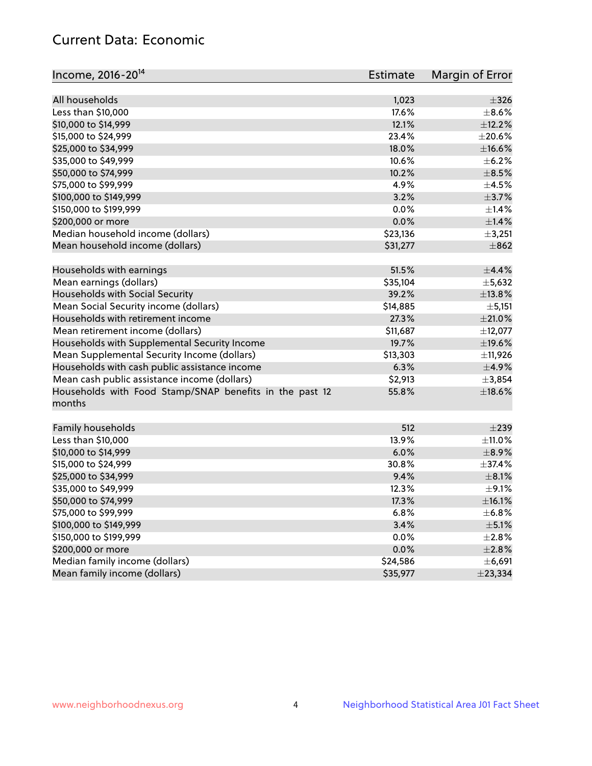## Current Data: Economic

| Income, 2016-20 <sup>14</sup>                           | <b>Estimate</b> | Margin of Error |
|---------------------------------------------------------|-----------------|-----------------|
| All households                                          |                 | $\pm$ 326       |
|                                                         | 1,023<br>17.6%  | $\pm$ 8.6%      |
| Less than \$10,000                                      |                 |                 |
| \$10,000 to \$14,999                                    | 12.1%           | ±12.2%          |
| \$15,000 to \$24,999                                    | 23.4%           | $\pm 20.6\%$    |
| \$25,000 to \$34,999                                    | 18.0%           | $\pm$ 16.6%     |
| \$35,000 to \$49,999                                    | 10.6%           | $\pm$ 6.2%      |
| \$50,000 to \$74,999                                    | 10.2%           | $\pm$ 8.5%      |
| \$75,000 to \$99,999                                    | 4.9%            | $\pm$ 4.5%      |
| \$100,000 to \$149,999                                  | 3.2%            | $\pm$ 3.7%      |
| \$150,000 to \$199,999                                  | 0.0%            | $\pm$ 1.4%      |
| \$200,000 or more                                       | 0.0%            | ±1.4%           |
| Median household income (dollars)                       | \$23,136        | $\pm$ 3,251     |
| Mean household income (dollars)                         | \$31,277        | $\pm$ 862       |
| Households with earnings                                | 51.5%           | $\pm$ 4.4%      |
| Mean earnings (dollars)                                 | \$35,104        | ±5,632          |
| Households with Social Security                         | 39.2%           | ±13.8%          |
| Mean Social Security income (dollars)                   | \$14,885        | ± 5,151         |
| Households with retirement income                       | 27.3%           | $\pm 21.0\%$    |
| Mean retirement income (dollars)                        | \$11,687        | ±12,077         |
| Households with Supplemental Security Income            | 19.7%           | $\pm$ 19.6%     |
| Mean Supplemental Security Income (dollars)             | \$13,303        | ±11,926         |
| Households with cash public assistance income           | 6.3%            | $\pm$ 4.9%      |
| Mean cash public assistance income (dollars)            | \$2,913         | ±3,854          |
| Households with Food Stamp/SNAP benefits in the past 12 | 55.8%           | ±18.6%          |
| months                                                  |                 |                 |
|                                                         |                 |                 |
| Family households                                       | 512             | $\pm 239$       |
| Less than \$10,000                                      | 13.9%           | $\pm$ 11.0%     |
| \$10,000 to \$14,999                                    | 6.0%            | $\pm$ 8.9%      |
| \$15,000 to \$24,999                                    | 30.8%           | ±37.4%          |
| \$25,000 to \$34,999                                    | 9.4%            | $\pm$ 8.1%      |
| \$35,000 to \$49,999                                    | 12.3%           | $\pm$ 9.1%      |
| \$50,000 to \$74,999                                    | 17.3%           | ±16.1%          |
| \$75,000 to \$99,999                                    | 6.8%            | $\pm$ 6.8%      |
| \$100,000 to \$149,999                                  | 3.4%            | $\pm$ 5.1%      |
| \$150,000 to \$199,999                                  | 0.0%            | ±2.8%           |
| \$200,000 or more                                       | 0.0%            | $\pm 2.8\%$     |
| Median family income (dollars)                          | \$24,586        | ±6,691          |
| Mean family income (dollars)                            | \$35,977        | ±23,334         |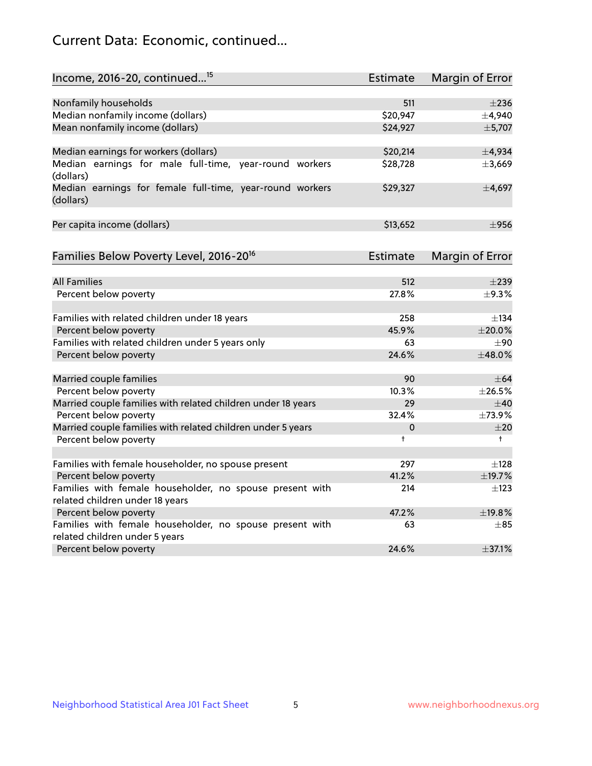## Current Data: Economic, continued...

| Income, 2016-20, continued <sup>15</sup>                              | <b>Estimate</b> | Margin of Error        |
|-----------------------------------------------------------------------|-----------------|------------------------|
|                                                                       |                 |                        |
| Nonfamily households<br>Median nonfamily income (dollars)             | 511<br>\$20,947 | $\pm 236$<br>±4,940    |
| Mean nonfamily income (dollars)                                       | \$24,927        | ±5,707                 |
|                                                                       |                 |                        |
| Median earnings for workers (dollars)                                 | \$20,214        | ±4,934                 |
| Median earnings for male full-time, year-round workers<br>(dollars)   | \$28,728        | ±3,669                 |
| Median earnings for female full-time, year-round workers<br>(dollars) | \$29,327        | ±4,697                 |
| Per capita income (dollars)                                           | \$13,652        | $\pm$ 956              |
| Families Below Poverty Level, 2016-20 <sup>16</sup>                   | <b>Estimate</b> | <b>Margin of Error</b> |
|                                                                       |                 |                        |
| <b>All Families</b>                                                   | 512             | $\pm 239$              |
| Percent below poverty                                                 | 27.8%           | $\pm$ 9.3%             |
| Families with related children under 18 years                         | 258             | $\pm$ 134              |
| Percent below poverty                                                 | 45.9%           | $\pm 20.0\%$           |
| Families with related children under 5 years only                     | 63              | $+90$                  |
| Percent below poverty                                                 | 24.6%           | ±48.0%                 |
| Married couple families                                               | 90              | $\pm$ 64               |
| Percent below poverty                                                 | 10.3%           | ±26.5%                 |
| Married couple families with related children under 18 years          | 29              | $\pm 40$               |
| Percent below poverty                                                 | 32.4%           | $\pm 73.9\%$           |
| Married couple families with related children under 5 years           | 0               | ±20                    |
| Percent below poverty                                                 | $\ddagger$      | $\ddagger$             |
| Families with female householder, no spouse present                   | 297             | $\pm$ 128              |
| Percent below poverty                                                 | 41.2%           | ±19.7%                 |
| Families with female householder, no spouse present with              | 214             | $\pm$ 123              |
| related children under 18 years                                       |                 |                        |
| Percent below poverty                                                 | 47.2%           | ±19.8%                 |
| Families with female householder, no spouse present with              | 63              | $\pm$ 85               |
| related children under 5 years                                        |                 |                        |
| Percent below poverty                                                 | 24.6%           | ±37.1%                 |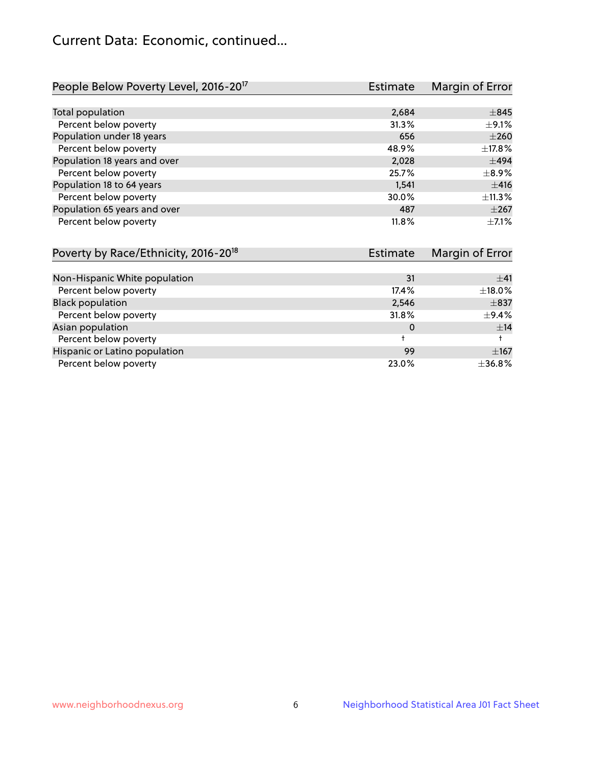## Current Data: Economic, continued...

| People Below Poverty Level, 2016-20 <sup>17</sup> | <b>Estimate</b> | Margin of Error |
|---------------------------------------------------|-----------------|-----------------|
|                                                   |                 |                 |
| Total population                                  | 2,684           | $\pm$ 845       |
| Percent below poverty                             | 31.3%           | $\pm$ 9.1%      |
| Population under 18 years                         | 656             | $\pm 260$       |
| Percent below poverty                             | 48.9%           | ±17.8%          |
| Population 18 years and over                      | 2,028           | $\pm$ 494       |
| Percent below poverty                             | 25.7%           | $\pm$ 8.9%      |
| Population 18 to 64 years                         | 1,541           | ±416            |
| Percent below poverty                             | 30.0%           | ±11.3%          |
| Population 65 years and over                      | 487             | $\pm 267$       |
| Percent below poverty                             | 11.8%           | $\pm$ 7.1%      |

| Poverty by Race/Ethnicity, 2016-20 <sup>18</sup> | <b>Estimate</b> |            |
|--------------------------------------------------|-----------------|------------|
|                                                  |                 |            |
| Non-Hispanic White population                    | 31              | ±41        |
| Percent below poverty                            | 17.4%           | ±18.0%     |
| <b>Black population</b>                          | 2,546           | $\pm$ 837  |
| Percent below poverty                            | 31.8%           | $\pm$ 9.4% |
| Asian population                                 | 0               | ±14        |
| Percent below poverty                            |                 |            |
| Hispanic or Latino population                    | 99              | $\pm 167$  |
| Percent below poverty                            | 23.0%           | ±36.8%     |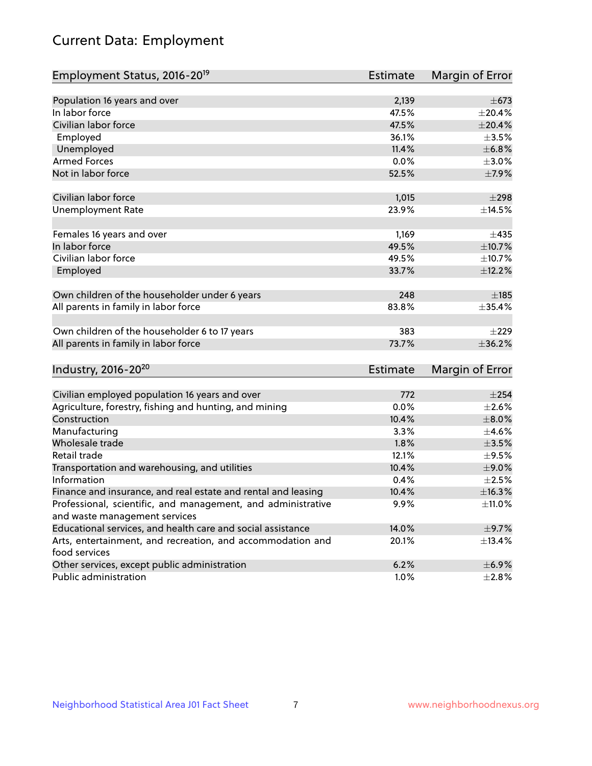# Current Data: Employment

| Employment Status, 2016-20 <sup>19</sup>                      | <b>Estimate</b> | Margin of Error |
|---------------------------------------------------------------|-----------------|-----------------|
|                                                               |                 |                 |
| Population 16 years and over                                  | 2,139           | $+673$          |
| In labor force                                                | 47.5%           | ±20.4%          |
| Civilian labor force                                          | 47.5%           | $\pm 20.4\%$    |
| Employed                                                      | 36.1%           | $\pm 3.5\%$     |
| Unemployed                                                    | 11.4%           | ±6.8%           |
| <b>Armed Forces</b>                                           | 0.0%            | $\pm 3.0\%$     |
| Not in labor force                                            | 52.5%           | ±7.9%           |
| Civilian labor force                                          | 1,015           | $\pm 298$       |
| <b>Unemployment Rate</b>                                      | 23.9%           | ±14.5%          |
|                                                               |                 |                 |
| Females 16 years and over                                     | 1,169           | ±435            |
| In labor force                                                | 49.5%           | ±10.7%          |
| Civilian labor force                                          | 49.5%           | ±10.7%          |
| Employed                                                      | 33.7%           | ±12.2%          |
| Own children of the householder under 6 years                 | 248             | $\pm$ 185       |
| All parents in family in labor force                          | 83.8%           | $\pm$ 35.4%     |
|                                                               |                 |                 |
| Own children of the householder 6 to 17 years                 | 383             | $\pm 229$       |
| All parents in family in labor force                          | 73.7%           | ±36.2%          |
| Industry, 2016-20 <sup>20</sup>                               | Estimate        | Margin of Error |
|                                                               |                 |                 |
| Civilian employed population 16 years and over                | 772             | $\pm 254$       |
| Agriculture, forestry, fishing and hunting, and mining        | 0.0%            | $\pm 2.6\%$     |
| Construction                                                  | 10.4%           | $\pm 8.0\%$     |
| Manufacturing                                                 | 3.3%            | $\pm 4.6\%$     |
| Wholesale trade                                               | 1.8%            | $\pm 3.5\%$     |
| Retail trade                                                  | 12.1%           | $\pm$ 9.5%      |
| Transportation and warehousing, and utilities                 | 10.4%           | $\pm$ 9.0%      |
| Information                                                   | 0.4%            | $\pm 2.5\%$     |
| Finance and insurance, and real estate and rental and leasing | 10.4%           | ±16.3%          |
| Professional, scientific, and management, and administrative  | 9.9%            | $\pm$ 11.0%     |
| and waste management services                                 |                 |                 |
| Educational services, and health care and social assistance   | 14.0%           | $\pm$ 9.7%      |
| Arts, entertainment, and recreation, and accommodation and    | 20.1%           | ±13.4%          |
| food services                                                 |                 |                 |
| Other services, except public administration                  | 6.2%            | $\pm$ 6.9%      |
| Public administration                                         | 1.0%            | ±2.8%           |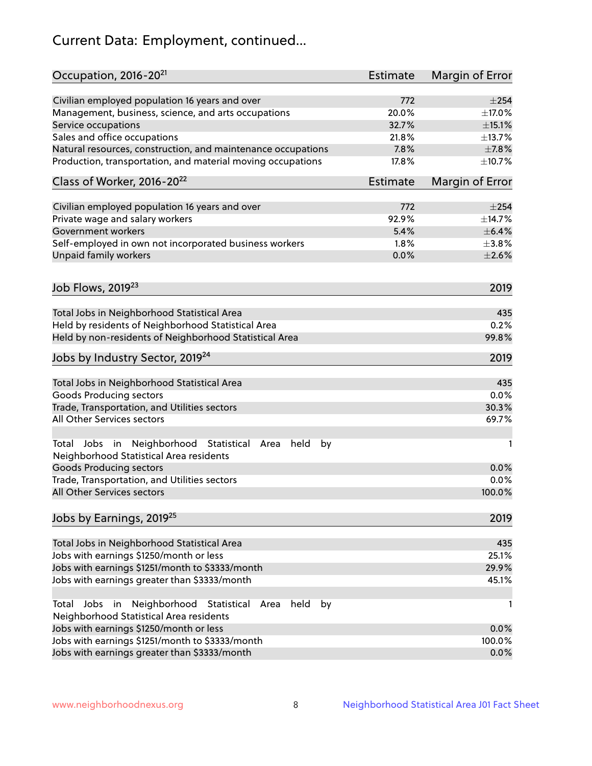# Current Data: Employment, continued...

| Occupation, 2016-20 <sup>21</sup>                                                                       | Estimate | Margin of Error |
|---------------------------------------------------------------------------------------------------------|----------|-----------------|
| Civilian employed population 16 years and over                                                          | 772      | $\pm 254$       |
| Management, business, science, and arts occupations                                                     | 20.0%    | ±17.0%          |
| Service occupations                                                                                     | 32.7%    | $\pm$ 15.1%     |
| Sales and office occupations                                                                            | 21.8%    | ±13.7%          |
| Natural resources, construction, and maintenance occupations                                            | 7.8%     | $\pm$ 7.8%      |
| Production, transportation, and material moving occupations                                             | 17.8%    | ±10.7%          |
| Class of Worker, 2016-20 <sup>22</sup>                                                                  | Estimate | Margin of Error |
| Civilian employed population 16 years and over                                                          | 772      | $\pm 254$       |
| Private wage and salary workers                                                                         | 92.9%    | ±14.7%          |
| Government workers                                                                                      | 5.4%     | $\pm$ 6.4%      |
| Self-employed in own not incorporated business workers                                                  | 1.8%     | $\pm$ 3.8%      |
| Unpaid family workers                                                                                   | 0.0%     | $\pm 2.6\%$     |
| Job Flows, 2019 <sup>23</sup>                                                                           |          | 2019            |
|                                                                                                         |          |                 |
| Total Jobs in Neighborhood Statistical Area                                                             |          | 435             |
| Held by residents of Neighborhood Statistical Area                                                      |          | 0.2%            |
| Held by non-residents of Neighborhood Statistical Area                                                  |          | 99.8%           |
| Jobs by Industry Sector, 2019 <sup>24</sup>                                                             |          | 2019            |
| Total Jobs in Neighborhood Statistical Area                                                             |          | 435             |
| <b>Goods Producing sectors</b>                                                                          |          | 0.0%            |
| Trade, Transportation, and Utilities sectors                                                            |          | 30.3%           |
| All Other Services sectors                                                                              |          | 69.7%           |
| Total Jobs in Neighborhood Statistical<br>held<br>by<br>Area<br>Neighborhood Statistical Area residents |          | 1               |
| <b>Goods Producing sectors</b>                                                                          |          | 0.0%            |
| Trade, Transportation, and Utilities sectors                                                            |          | 0.0%            |
| All Other Services sectors                                                                              |          | 100.0%          |
| Jobs by Earnings, 2019 <sup>25</sup>                                                                    |          | 2019            |
| Total Jobs in Neighborhood Statistical Area                                                             |          | 435             |
| Jobs with earnings \$1250/month or less                                                                 |          | 25.1%           |
| Jobs with earnings \$1251/month to \$3333/month                                                         |          | 29.9%           |
| Jobs with earnings greater than \$3333/month                                                            |          | 45.1%           |
| Neighborhood Statistical<br>Jobs<br>in<br>held<br>by<br>Total<br>Area                                   |          | 1               |
| Neighborhood Statistical Area residents                                                                 |          |                 |
| Jobs with earnings \$1250/month or less                                                                 |          | 0.0%            |
| Jobs with earnings \$1251/month to \$3333/month                                                         |          | 100.0%          |
| Jobs with earnings greater than \$3333/month                                                            |          | 0.0%            |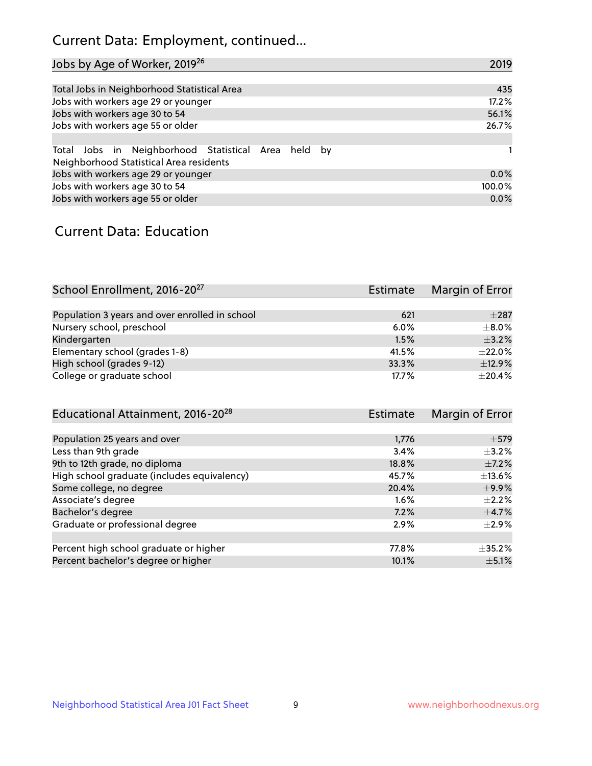## Current Data: Employment, continued...

| Jobs by Age of Worker, 2019 <sup>26</sup>                                                      | 2019   |
|------------------------------------------------------------------------------------------------|--------|
|                                                                                                |        |
| Total Jobs in Neighborhood Statistical Area                                                    | 435    |
| Jobs with workers age 29 or younger                                                            | 17.2%  |
| Jobs with workers age 30 to 54                                                                 | 56.1%  |
| Jobs with workers age 55 or older                                                              | 26.7%  |
|                                                                                                |        |
| Total Jobs in Neighborhood Statistical Area held by<br>Neighborhood Statistical Area residents |        |
| Jobs with workers age 29 or younger                                                            | 0.0%   |
| Jobs with workers age 30 to 54                                                                 | 100.0% |
| Jobs with workers age 55 or older                                                              | 0.0%   |

### Current Data: Education

| School Enrollment, 2016-20 <sup>27</sup>       | Estimate | Margin of Error |
|------------------------------------------------|----------|-----------------|
|                                                |          |                 |
| Population 3 years and over enrolled in school | 621      | $\pm 287$       |
| Nursery school, preschool                      | $6.0\%$  | $\pm$ 8.0%      |
| Kindergarten                                   | 1.5%     | $\pm$ 3.2%      |
| Elementary school (grades 1-8)                 | 41.5%    | $\pm 22.0\%$    |
| High school (grades 9-12)                      | 33.3%    | ±12.9%          |
| College or graduate school                     | 17.7%    | $\pm 20.4\%$    |

| Educational Attainment, 2016-20 <sup>28</sup> | <b>Estimate</b> | Margin of Error |
|-----------------------------------------------|-----------------|-----------------|
|                                               |                 |                 |
| Population 25 years and over                  | 1,776           | $\pm$ 579       |
| Less than 9th grade                           | 3.4%            | $\pm$ 3.2%      |
| 9th to 12th grade, no diploma                 | 18.8%           | $\pm$ 7.2%      |
| High school graduate (includes equivalency)   | 45.7%           | $\pm$ 13.6%     |
| Some college, no degree                       | 20.4%           | $\pm$ 9.9%      |
| Associate's degree                            | 1.6%            | $\pm 2.2\%$     |
| Bachelor's degree                             | 7.2%            | $\pm$ 4.7%      |
| Graduate or professional degree               | 2.9%            | $\pm 2.9\%$     |
|                                               |                 |                 |
| Percent high school graduate or higher        | 77.8%           | $\pm$ 35.2%     |
| Percent bachelor's degree or higher           | 10.1%           | $\pm$ 5.1%      |
|                                               |                 |                 |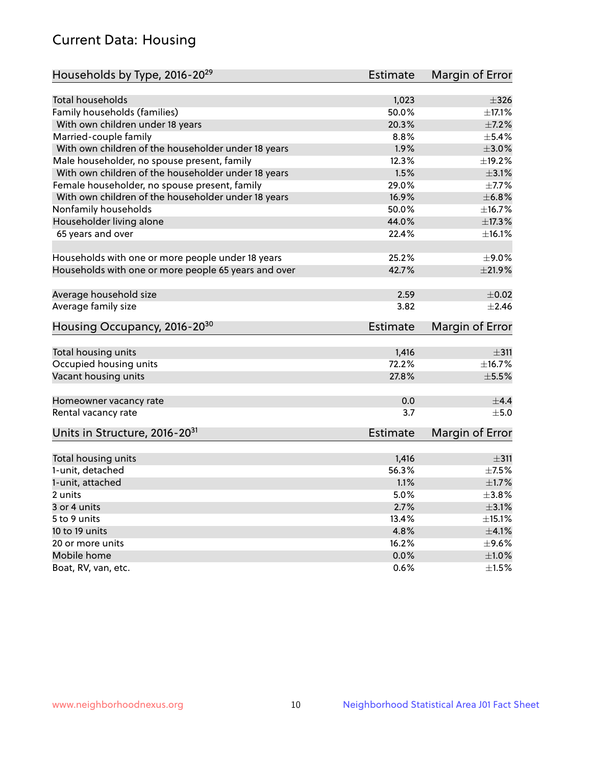## Current Data: Housing

| Households by Type, 2016-20 <sup>29</sup>            | <b>Estimate</b> | Margin of Error |
|------------------------------------------------------|-----------------|-----------------|
|                                                      |                 |                 |
| Total households                                     | 1,023           | $\pm$ 326       |
| Family households (families)                         | 50.0%           | $+17.1%$        |
| With own children under 18 years                     | 20.3%           | $\pm$ 7.2%      |
| Married-couple family                                | 8.8%            | $\pm$ 5.4%      |
| With own children of the householder under 18 years  | 1.9%            | $\pm 3.0\%$     |
| Male householder, no spouse present, family          | 12.3%           | $\pm$ 19.2%     |
| With own children of the householder under 18 years  | 1.5%            | $\pm 3.1\%$     |
| Female householder, no spouse present, family        | 29.0%           | $\pm$ 7.7%      |
| With own children of the householder under 18 years  | 16.9%           | ±6.8%           |
| Nonfamily households                                 | 50.0%           | ±16.7%          |
| Householder living alone                             | 44.0%           | ±17.3%          |
| 65 years and over                                    | 22.4%           | ±16.1%          |
|                                                      |                 |                 |
| Households with one or more people under 18 years    | 25.2%           | $\pm$ 9.0%      |
| Households with one or more people 65 years and over | 42.7%           | $\pm 21.9\%$    |
|                                                      |                 |                 |
| Average household size                               | 2.59            | $\pm$ 0.02      |
| Average family size                                  | 3.82            | $+2.46$         |
| Housing Occupancy, 2016-20 <sup>30</sup>             | <b>Estimate</b> | Margin of Error |
|                                                      |                 |                 |
| Total housing units                                  | 1,416<br>72.2%  | ±311            |
| Occupied housing units                               |                 | ±16.7%          |
| Vacant housing units                                 | 27.8%           | $\pm$ 5.5%      |
| Homeowner vacancy rate                               | 0.0             | $\pm$ 4.4       |
| Rental vacancy rate                                  | 3.7             | ±5.0            |
| Units in Structure, 2016-20 <sup>31</sup>            | Estimate        | Margin of Error |
|                                                      |                 |                 |
| Total housing units                                  | 1,416           | ±311            |
| 1-unit, detached                                     | 56.3%           | $\pm$ 7.5%      |
| 1-unit, attached                                     | 1.1%            | $\pm1.7\%$      |
| 2 units                                              | 5.0%            | $\pm$ 3.8%      |
| 3 or 4 units                                         | 2.7%            | $\pm$ 3.1%      |
| 5 to 9 units                                         | 13.4%           | $\pm$ 15.1%     |
| 10 to 19 units                                       | 4.8%            | $\pm 4.1\%$     |
| 20 or more units                                     | 16.2%           | $\pm$ 9.6%      |
| Mobile home                                          | 0.0%            | $\pm1.0\%$      |
| Boat, RV, van, etc.                                  | $0.6\%$         | $\pm 1.5\%$     |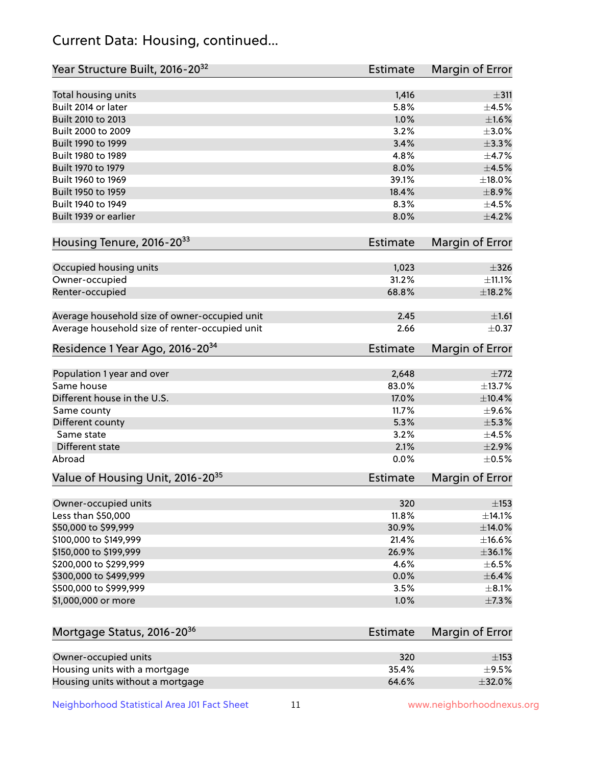## Current Data: Housing, continued...

| Year Structure Built, 2016-20 <sup>32</sup>    | Estimate        | <b>Margin of Error</b> |
|------------------------------------------------|-----------------|------------------------|
| Total housing units                            | 1,416           | $\pm$ 311              |
| Built 2014 or later                            | 5.8%            | $\pm 4.5\%$            |
| Built 2010 to 2013                             | 1.0%            | ±1.6%                  |
| Built 2000 to 2009                             | 3.2%            | $\pm 3.0\%$            |
| Built 1990 to 1999                             | 3.4%            | $\pm$ 3.3%             |
| Built 1980 to 1989                             | 4.8%            | $\pm$ 4.7%             |
| Built 1970 to 1979                             | 8.0%            | $\pm$ 4.5%             |
| Built 1960 to 1969                             | 39.1%           | ±18.0%                 |
| Built 1950 to 1959                             | 18.4%           | $\pm$ 8.9%             |
| Built 1940 to 1949                             | 8.3%            | $\pm 4.5\%$            |
| Built 1939 or earlier                          | 8.0%            | $\pm$ 4.2%             |
| Housing Tenure, 2016-2033                      | Estimate        | Margin of Error        |
| Occupied housing units                         | 1,023           | $\pm$ 326              |
| Owner-occupied                                 | 31.2%           | ±11.1%                 |
| Renter-occupied                                | 68.8%           | ±18.2%                 |
| Average household size of owner-occupied unit  | 2.45            | ±1.61                  |
| Average household size of renter-occupied unit | 2.66            | $\pm$ 0.37             |
| Residence 1 Year Ago, 2016-20 <sup>34</sup>    | <b>Estimate</b> | <b>Margin of Error</b> |
| Population 1 year and over                     | 2,648           | $\pm 772$              |
| Same house                                     | 83.0%           | ±13.7%                 |
| Different house in the U.S.                    | 17.0%           | ±10.4%                 |
| Same county                                    | 11.7%           | $\pm$ 9.6%             |
| Different county                               | 5.3%            | $\pm$ 5.3%             |
| Same state                                     | 3.2%            | $\pm 4.5\%$            |
| Different state                                | 2.1%            | $\pm 2.9\%$            |
| Abroad                                         | 0.0%            | $\pm$ 0.5%             |
| Value of Housing Unit, 2016-20 <sup>35</sup>   | <b>Estimate</b> | Margin of Error        |
| Owner-occupied units                           | 320             | $\pm$ 153              |
| Less than \$50,000                             | 11.8%           | ±14.1%                 |
| \$50,000 to \$99,999                           | 30.9%           | ±14.0%                 |
| \$100,000 to \$149,999                         | 21.4%           | ±16.6%                 |
| \$150,000 to \$199,999                         | 26.9%           | ±36.1%                 |
| \$200,000 to \$299,999                         | 4.6%            | $\pm$ 6.5%             |
| \$300,000 to \$499,999                         | 0.0%            | $\pm$ 6.4%             |
| \$500,000 to \$999,999                         | 3.5%            | $\pm$ 8.1%             |
| \$1,000,000 or more                            | 1.0%            | ±7.3%                  |
| Mortgage Status, 2016-20 <sup>36</sup>         | Estimate        | Margin of Error        |
| Owner-occupied units                           | 320             | ±153                   |
| Housing units with a mortgage                  | 35.4%           | $\pm$ 9.5%             |

Housing units without a mortgage  $\pm 32.0\%$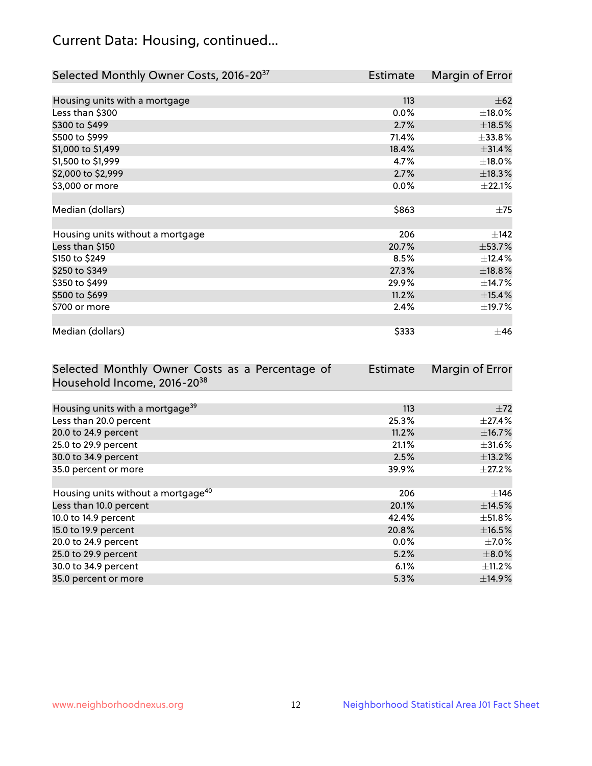## Current Data: Housing, continued...

| Selected Monthly Owner Costs, 2016-20 <sup>37</sup> | Estimate | Margin of Error |
|-----------------------------------------------------|----------|-----------------|
|                                                     |          |                 |
| Housing units with a mortgage                       | 113      | $\pm 62$        |
| Less than \$300                                     | 0.0%     | $\pm$ 18.0%     |
| \$300 to \$499                                      | 2.7%     | $\pm$ 18.5%     |
| \$500 to \$999                                      | 71.4%    | ±33.8%          |
| \$1,000 to \$1,499                                  | 18.4%    | ±31.4%          |
| \$1,500 to \$1,999                                  | 4.7%     | $\pm$ 18.0%     |
| \$2,000 to \$2,999                                  | 2.7%     | ±18.3%          |
| \$3,000 or more                                     | 0.0%     | ±22.1%          |
|                                                     |          |                 |
| Median (dollars)                                    | \$863    | $\pm 75$        |
|                                                     |          |                 |
| Housing units without a mortgage                    | 206      | $\pm$ 142       |
| Less than \$150                                     | 20.7%    | $\pm$ 53.7%     |
| \$150 to \$249                                      | 8.5%     | ±12.4%          |
| \$250 to \$349                                      | 27.3%    | ±18.8%          |
| \$350 to \$499                                      | 29.9%    | ±14.7%          |
| \$500 to \$699                                      | 11.2%    | $\pm$ 15.4%     |
| \$700 or more                                       | 2.4%     | ±19.7%          |
|                                                     |          |                 |
| Median (dollars)                                    | \$333    | $\pm$ 46        |

| Selected Monthly Owner Costs as a Percentage of | Estimate | Margin of Error |
|-------------------------------------------------|----------|-----------------|
| Household Income, 2016-20 <sup>38</sup>         |          |                 |
|                                                 |          |                 |
| Housing units with a mortgage <sup>39</sup>     | 113      | $\pm 72$        |
| Less than 20.0 percent                          | 25.3%    | $\pm$ 27.4%     |
| 20.0 to 24.9 percent                            | 11.2%    | ±16.7%          |
| 25.0 to 29.9 percent                            | 21.1%    | $\pm$ 31.6%     |
| 30.0 to 34.9 percent                            | 2.5%     | ±13.2%          |
| 35.0 percent or more                            | 39.9%    | $\pm 27.2\%$    |
|                                                 |          |                 |
| Housing units without a mortgage <sup>40</sup>  | 206      | $\pm$ 146       |
| Less than 10.0 percent                          | 20.1%    | ±14.5%          |
| 10.0 to 14.9 percent                            | 42.4%    | $\pm$ 51.8%     |
| 15.0 to 19.9 percent                            | 20.8%    | $\pm$ 16.5%     |
| 20.0 to 24.9 percent                            | $0.0\%$  | $\pm$ 7.0%      |
| 25.0 to 29.9 percent                            | 5.2%     | $\pm 8.0\%$     |
| 30.0 to 34.9 percent                            | 6.1%     | $\pm$ 11.2%     |
| 35.0 percent or more                            | 5.3%     | ±14.9%          |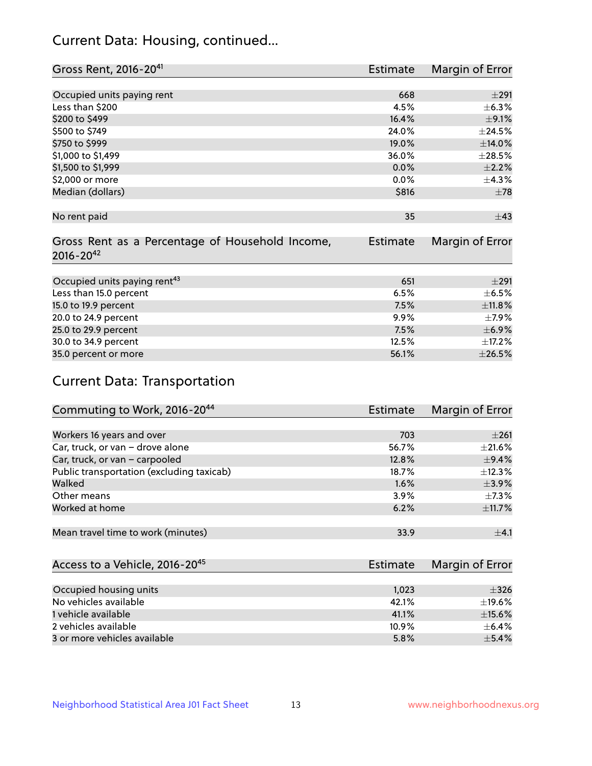## Current Data: Housing, continued...

| Gross Rent, 2016-20 <sup>41</sup>               | <b>Estimate</b> | Margin of Error |
|-------------------------------------------------|-----------------|-----------------|
|                                                 |                 |                 |
| Occupied units paying rent                      | 668             | $\pm 291$       |
| Less than \$200                                 | 4.5%            | ±6.3%           |
| \$200 to \$499                                  | 16.4%           | $\pm$ 9.1%      |
| \$500 to \$749                                  | 24.0%           | ±24.5%          |
| \$750 to \$999                                  | 19.0%           | ±14.0%          |
| \$1,000 to \$1,499                              | 36.0%           | $\pm 28.5\%$    |
| \$1,500 to \$1,999                              | $0.0\%$         | $\pm 2.2\%$     |
| \$2,000 or more                                 | 0.0%            | ±4.3%           |
| Median (dollars)                                | \$816           | $\pm 78$        |
|                                                 |                 |                 |
| No rent paid                                    | 35              | ±43             |
|                                                 |                 |                 |
| Gross Rent as a Percentage of Household Income, | <b>Estimate</b> | Margin of Error |
| $2016 - 20^{42}$                                |                 |                 |
|                                                 |                 |                 |
| Occupied units paying rent <sup>43</sup>        | 651             | $\pm 291$       |
| Less than 15.0 percent                          | 6.5%            | $\pm$ 6.5%      |
| 15.0 to 19.9 percent                            | 7.5%            | ±11.8%          |
| 20.0 to 24.9 percent                            | $9.9\%$         | $\pm$ 7.9%      |
| 25.0 to 29.9 percent                            | 7.5%            | $\pm$ 6.9%      |
| 30.0 to 34.9 percent                            | 12.5%           | ±17.2%          |
| 35.0 percent or more                            | 56.1%           | $\pm 26.5\%$    |

# Current Data: Transportation

| Commuting to Work, 2016-20 <sup>44</sup>  | Estimate | Margin of Error |
|-------------------------------------------|----------|-----------------|
|                                           |          |                 |
| Workers 16 years and over                 | 703      | $\pm 261$       |
| Car, truck, or van - drove alone          | 56.7%    | $\pm 21.6\%$    |
| Car, truck, or van - carpooled            | 12.8%    | $\pm$ 9.4%      |
| Public transportation (excluding taxicab) | 18.7%    | ±12.3%          |
| Walked                                    | 1.6%     | $\pm$ 3.9%      |
| Other means                               | 3.9%     | $\pm$ 7.3%      |
| Worked at home                            | 6.2%     | ±11.7%          |
|                                           |          |                 |
| Mean travel time to work (minutes)        | 33.9     | $+4.1$          |

| Access to a Vehicle, 2016-20 <sup>45</sup> | Estimate | Margin of Error |
|--------------------------------------------|----------|-----------------|
|                                            |          |                 |
| Occupied housing units                     | 1,023    | $\pm$ 326       |
| No vehicles available                      | 42.1%    | $\pm$ 19.6%     |
| 1 vehicle available                        | 41.1%    | $\pm$ 15.6%     |
| 2 vehicles available                       | 10.9%    | $+6.4%$         |
| 3 or more vehicles available               | 5.8%     | $+5.4%$         |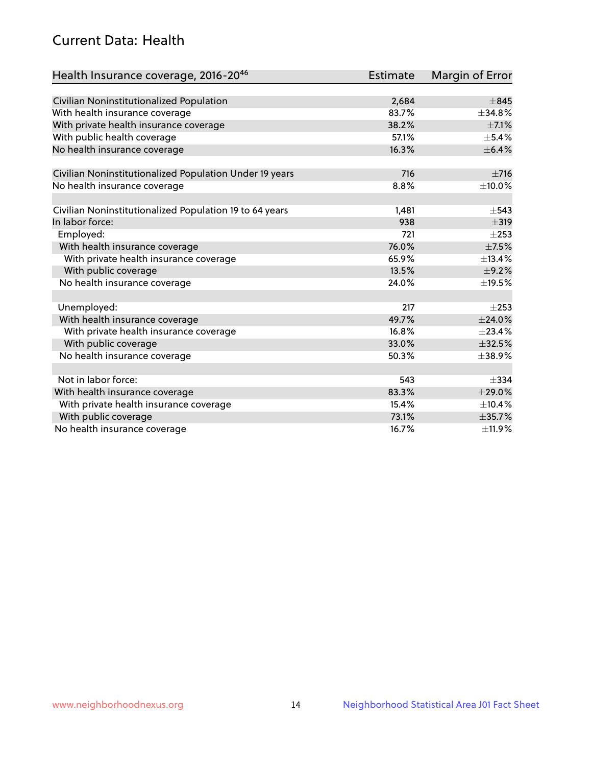## Current Data: Health

| Health Insurance coverage, 2016-2046                    | <b>Estimate</b> | Margin of Error |
|---------------------------------------------------------|-----------------|-----------------|
|                                                         |                 |                 |
| Civilian Noninstitutionalized Population                | 2,684           | $\pm$ 845       |
| With health insurance coverage                          | 83.7%           | $+34.8%$        |
| With private health insurance coverage                  | 38.2%           | $\pm$ 7.1%      |
| With public health coverage                             | 57.1%           | $\pm$ 5.4%      |
| No health insurance coverage                            | 16.3%           | $\pm$ 6.4%      |
| Civilian Noninstitutionalized Population Under 19 years | 716             | $\pm 716$       |
| No health insurance coverage                            | 8.8%            | ±10.0%          |
|                                                         |                 |                 |
| Civilian Noninstitutionalized Population 19 to 64 years | 1,481           | $\pm$ 543       |
| In labor force:                                         | 938             | $\pm$ 319       |
| Employed:                                               | 721             | $\pm 253$       |
| With health insurance coverage                          | 76.0%           | $\pm$ 7.5%      |
| With private health insurance coverage                  | 65.9%           | ±13.4%          |
| With public coverage                                    | 13.5%           | $\pm$ 9.2%      |
| No health insurance coverage                            | 24.0%           | ±19.5%          |
|                                                         |                 |                 |
| Unemployed:                                             | 217             | $\pm 253$       |
| With health insurance coverage                          | 49.7%           | ±24.0%          |
| With private health insurance coverage                  | 16.8%           | ±23.4%          |
| With public coverage                                    | 33.0%           | $\pm$ 32.5%     |
| No health insurance coverage                            | 50.3%           | $\pm$ 38.9%     |
|                                                         |                 |                 |
| Not in labor force:                                     | 543             | $\pm$ 334       |
| With health insurance coverage                          | 83.3%           | ±29.0%          |
| With private health insurance coverage                  | 15.4%           | ±10.4%          |
| With public coverage                                    | 73.1%           | ±35.7%          |
| No health insurance coverage                            | 16.7%           | ±11.9%          |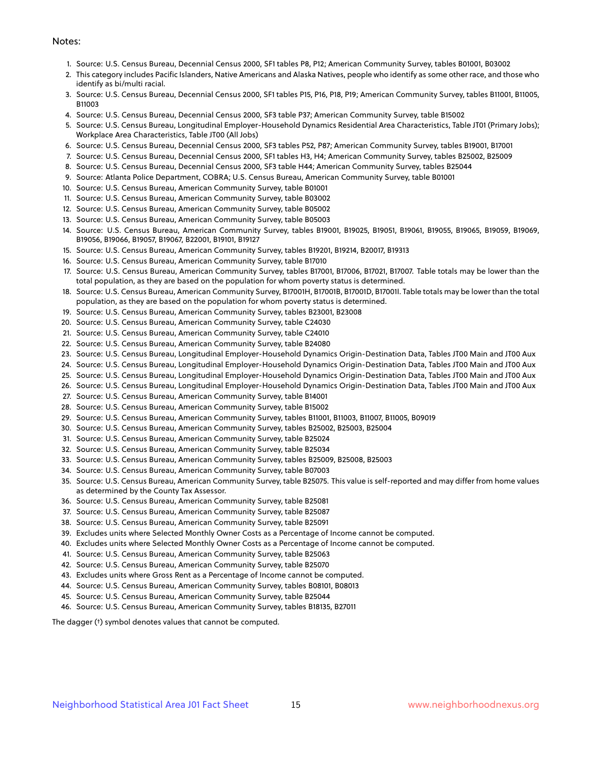#### Notes:

- 1. Source: U.S. Census Bureau, Decennial Census 2000, SF1 tables P8, P12; American Community Survey, tables B01001, B03002
- 2. This category includes Pacific Islanders, Native Americans and Alaska Natives, people who identify as some other race, and those who identify as bi/multi racial.
- 3. Source: U.S. Census Bureau, Decennial Census 2000, SF1 tables P15, P16, P18, P19; American Community Survey, tables B11001, B11005, B11003
- 4. Source: U.S. Census Bureau, Decennial Census 2000, SF3 table P37; American Community Survey, table B15002
- 5. Source: U.S. Census Bureau, Longitudinal Employer-Household Dynamics Residential Area Characteristics, Table JT01 (Primary Jobs); Workplace Area Characteristics, Table JT00 (All Jobs)
- 6. Source: U.S. Census Bureau, Decennial Census 2000, SF3 tables P52, P87; American Community Survey, tables B19001, B17001
- 7. Source: U.S. Census Bureau, Decennial Census 2000, SF1 tables H3, H4; American Community Survey, tables B25002, B25009
- 8. Source: U.S. Census Bureau, Decennial Census 2000, SF3 table H44; American Community Survey, tables B25044
- 9. Source: Atlanta Police Department, COBRA; U.S. Census Bureau, American Community Survey, table B01001
- 10. Source: U.S. Census Bureau, American Community Survey, table B01001
- 11. Source: U.S. Census Bureau, American Community Survey, table B03002
- 12. Source: U.S. Census Bureau, American Community Survey, table B05002
- 13. Source: U.S. Census Bureau, American Community Survey, table B05003
- 14. Source: U.S. Census Bureau, American Community Survey, tables B19001, B19025, B19051, B19061, B19055, B19065, B19059, B19069, B19056, B19066, B19057, B19067, B22001, B19101, B19127
- 15. Source: U.S. Census Bureau, American Community Survey, tables B19201, B19214, B20017, B19313
- 16. Source: U.S. Census Bureau, American Community Survey, table B17010
- 17. Source: U.S. Census Bureau, American Community Survey, tables B17001, B17006, B17021, B17007. Table totals may be lower than the total population, as they are based on the population for whom poverty status is determined.
- 18. Source: U.S. Census Bureau, American Community Survey, B17001H, B17001B, B17001D, B17001I. Table totals may be lower than the total population, as they are based on the population for whom poverty status is determined.
- 19. Source: U.S. Census Bureau, American Community Survey, tables B23001, B23008
- 20. Source: U.S. Census Bureau, American Community Survey, table C24030
- 21. Source: U.S. Census Bureau, American Community Survey, table C24010
- 22. Source: U.S. Census Bureau, American Community Survey, table B24080
- 23. Source: U.S. Census Bureau, Longitudinal Employer-Household Dynamics Origin-Destination Data, Tables JT00 Main and JT00 Aux
- 24. Source: U.S. Census Bureau, Longitudinal Employer-Household Dynamics Origin-Destination Data, Tables JT00 Main and JT00 Aux
- 25. Source: U.S. Census Bureau, Longitudinal Employer-Household Dynamics Origin-Destination Data, Tables JT00 Main and JT00 Aux
- 26. Source: U.S. Census Bureau, Longitudinal Employer-Household Dynamics Origin-Destination Data, Tables JT00 Main and JT00 Aux
- 27. Source: U.S. Census Bureau, American Community Survey, table B14001
- 28. Source: U.S. Census Bureau, American Community Survey, table B15002
- 29. Source: U.S. Census Bureau, American Community Survey, tables B11001, B11003, B11007, B11005, B09019
- 30. Source: U.S. Census Bureau, American Community Survey, tables B25002, B25003, B25004
- 31. Source: U.S. Census Bureau, American Community Survey, table B25024
- 32. Source: U.S. Census Bureau, American Community Survey, table B25034
- 33. Source: U.S. Census Bureau, American Community Survey, tables B25009, B25008, B25003
- 34. Source: U.S. Census Bureau, American Community Survey, table B07003
- 35. Source: U.S. Census Bureau, American Community Survey, table B25075. This value is self-reported and may differ from home values as determined by the County Tax Assessor.
- 36. Source: U.S. Census Bureau, American Community Survey, table B25081
- 37. Source: U.S. Census Bureau, American Community Survey, table B25087
- 38. Source: U.S. Census Bureau, American Community Survey, table B25091
- 39. Excludes units where Selected Monthly Owner Costs as a Percentage of Income cannot be computed.
- 40. Excludes units where Selected Monthly Owner Costs as a Percentage of Income cannot be computed.
- 41. Source: U.S. Census Bureau, American Community Survey, table B25063
- 42. Source: U.S. Census Bureau, American Community Survey, table B25070
- 43. Excludes units where Gross Rent as a Percentage of Income cannot be computed.
- 44. Source: U.S. Census Bureau, American Community Survey, tables B08101, B08013
- 45. Source: U.S. Census Bureau, American Community Survey, table B25044
- 46. Source: U.S. Census Bureau, American Community Survey, tables B18135, B27011

The dagger (†) symbol denotes values that cannot be computed.